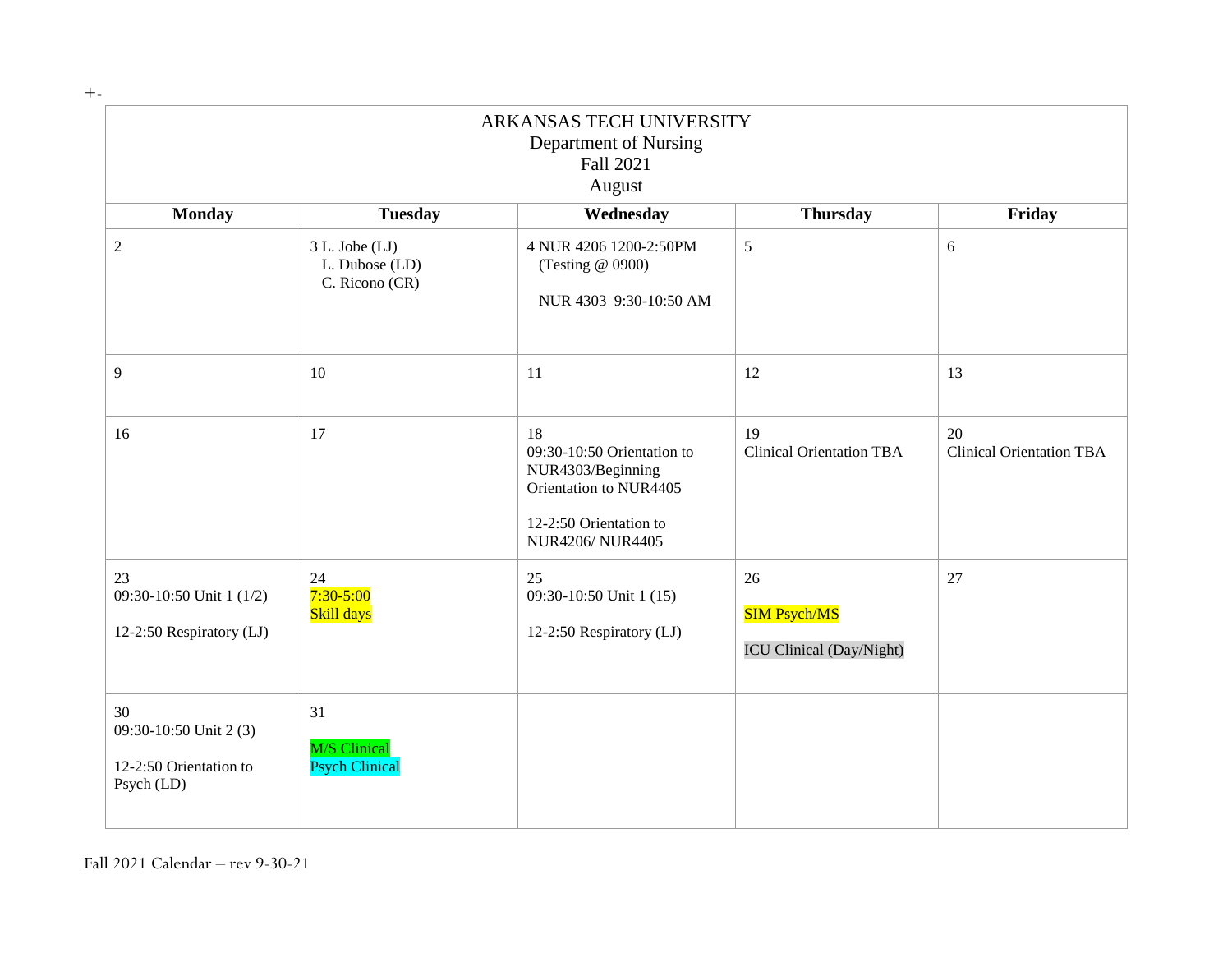+-

| ARKANSAS TECH UNIVERSITY<br>Department of Nursing<br>Fall 2021<br>August |                                                        |                                                                                                                                     |                                                              |                                       |
|--------------------------------------------------------------------------|--------------------------------------------------------|-------------------------------------------------------------------------------------------------------------------------------------|--------------------------------------------------------------|---------------------------------------|
| <b>Monday</b>                                                            | <b>Tuesday</b>                                         | Wednesday                                                                                                                           | <b>Thursday</b>                                              | Friday                                |
| $\overline{2}$                                                           | $3 L.$ Jobe $(LJ)$<br>L. Dubose (LD)<br>C. Ricono (CR) | 4 NUR 4206 1200-2:50PM<br>(Testing @ 0900)<br>NUR 4303 9:30-10:50 AM                                                                | 5                                                            | $6\,$                                 |
| 9                                                                        | 10                                                     | 11                                                                                                                                  | 12                                                           | 13                                    |
| 16                                                                       | 17                                                     | 18<br>09:30-10:50 Orientation to<br>NUR4303/Beginning<br>Orientation to NUR4405<br>12-2:50 Orientation to<br><b>NUR4206/NUR4405</b> | 19<br><b>Clinical Orientation TBA</b>                        | 20<br><b>Clinical Orientation TBA</b> |
| 23<br>09:30-10:50 Unit 1 (1/2)<br>12-2:50 Respiratory (LJ)               | 24<br>$7:30 - 5:00$<br>Skill days                      | 25<br>09:30-10:50 Unit 1 (15)<br>12-2:50 Respiratory (LJ)                                                                           | 26<br><b>SIM Psych/MS</b><br><b>ICU Clinical (Day/Night)</b> | $27\,$                                |
| 30<br>09:30-10:50 Unit 2 (3)<br>12-2:50 Orientation to<br>Psych (LD)     | 31<br><b>M/S</b> Clinical<br><b>Psych Clinical</b>     |                                                                                                                                     |                                                              |                                       |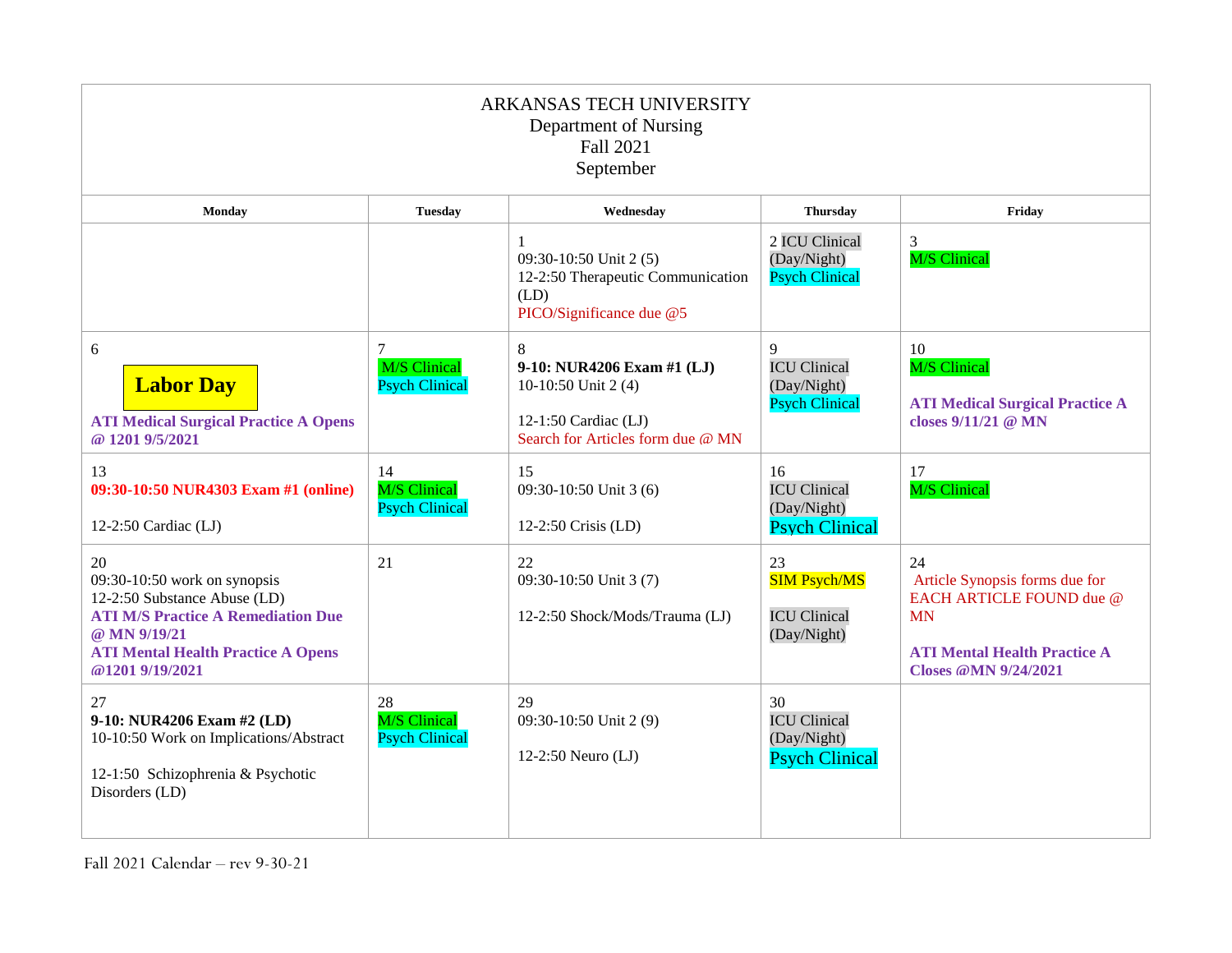| ARKANSAS TECH UNIVERSITY<br>Department of Nursing<br>Fall 2021<br>September                                                                                                                       |                                                    |                                                                                                                     |                                                                   |                                                                                                                                                     |
|---------------------------------------------------------------------------------------------------------------------------------------------------------------------------------------------------|----------------------------------------------------|---------------------------------------------------------------------------------------------------------------------|-------------------------------------------------------------------|-----------------------------------------------------------------------------------------------------------------------------------------------------|
| Monday                                                                                                                                                                                            | <b>Tuesday</b>                                     | Wednesdav                                                                                                           | <b>Thursday</b>                                                   | Friday                                                                                                                                              |
|                                                                                                                                                                                                   |                                                    | 09:30-10:50 Unit 2(5)<br>12-2:50 Therapeutic Communication<br>(LD)<br>PICO/Significance due @5                      | 2 ICU Clinical<br>(Day/Night)<br><b>Psych Clinical</b>            | 3<br>M/S Clinical                                                                                                                                   |
| 6<br><b>Labor Day</b><br><b>ATI Medical Surgical Practice A Opens</b><br>@ 1201 9/5/2021                                                                                                          | 7<br><b>M/S Clinical</b><br><b>Psych Clinical</b>  | 8<br>9-10: NUR4206 Exam #1 (LJ)<br>10-10:50 Unit 2 (4)<br>12-1:50 Cardiac (LJ)<br>Search for Articles form due @ MN | 9<br><b>ICU Clinical</b><br>(Day/Night)<br><b>Psych Clinical</b>  | 10<br><b>M/S</b> Clinical<br><b>ATI Medical Surgical Practice A</b><br>closes 9/11/21 @ MN                                                          |
| 13<br>09:30-10:50 NUR4303 Exam #1 (online)<br>12-2:50 Cardiac (LJ)                                                                                                                                | 14<br><b>M/S</b> Clinical<br><b>Psych Clinical</b> | 15<br>09:30-10:50 Unit 3 (6)<br>12-2:50 Crisis (LD)                                                                 | 16<br><b>ICU Clinical</b><br>(Day/Night)<br><b>Psych Clinical</b> | 17<br><b>M/S</b> Clinical                                                                                                                           |
| 20<br>$09:30-10:50$ work on synopsis<br>12-2:50 Substance Abuse (LD)<br><b>ATI M/S Practice A Remediation Due</b><br>@ MN 9/19/21<br><b>ATI Mental Health Practice A Opens</b><br>@1201 9/19/2021 | 21                                                 | 22<br>09:30-10:50 Unit 3 (7)<br>12-2:50 Shock/Mods/Trauma (LJ)                                                      | 23<br><b>SIM Psych/MS</b><br><b>ICU Clinical</b><br>(Day/Night)   | 24<br>Article Synopsis forms due for<br>EACH ARTICLE FOUND due @<br><b>MN</b><br><b>ATI Mental Health Practice A</b><br><b>Closes @MN 9/24/2021</b> |
| 27<br>9-10: NUR4206 Exam #2 (LD)<br>10-10:50 Work on Implications/Abstract<br>12-1:50 Schizophrenia & Psychotic<br>Disorders (LD)                                                                 | 28<br><b>M/S Clinical</b><br><b>Psych Clinical</b> | 29<br>09:30-10:50 Unit 2 (9)<br>12-2:50 Neuro $(LJ)$                                                                | 30<br><b>ICU Clinical</b><br>(Day/Night)<br><b>Psych Clinical</b> |                                                                                                                                                     |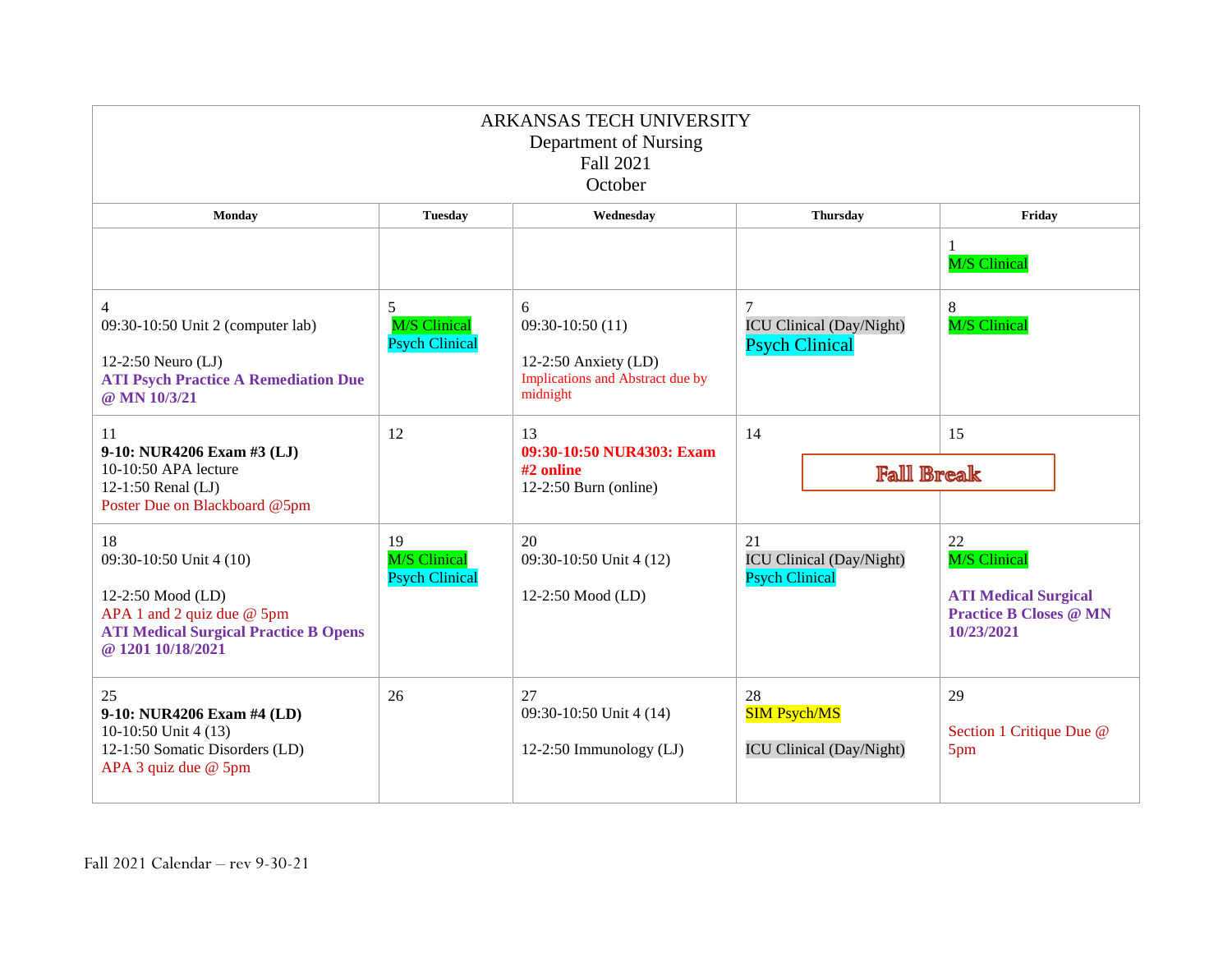| ARKANSAS TECH UNIVERSITY<br>Department of Nursing<br><b>Fall 2021</b><br>October                                                                        |                                                    |                                                                                                  |                                                                |                                                                                                         |
|---------------------------------------------------------------------------------------------------------------------------------------------------------|----------------------------------------------------|--------------------------------------------------------------------------------------------------|----------------------------------------------------------------|---------------------------------------------------------------------------------------------------------|
| Monday                                                                                                                                                  | <b>Tuesday</b>                                     | Wednesday                                                                                        | <b>Thursday</b>                                                | Friday                                                                                                  |
|                                                                                                                                                         |                                                    |                                                                                                  |                                                                | 1<br><b>M/S Clinical</b>                                                                                |
| 4<br>09:30-10:50 Unit 2 (computer lab)<br>12-2:50 Neuro (LJ)<br><b>ATI Psych Practice A Remediation Due</b><br>@ MN 10/3/21                             | 5<br><b>M/S Clinical</b><br><b>Psych Clinical</b>  | 6<br>$09:30-10:50(11)$<br>12-2:50 Anxiety $(LD)$<br>Implications and Abstract due by<br>midnight | 7<br><b>ICU Clinical (Day/Night)</b><br><b>Psych Clinical</b>  | 8<br><b>M/S Clinical</b>                                                                                |
| 11<br>9-10: NUR4206 Exam #3 (LJ)<br>10-10:50 APA lecture<br>12-1:50 Renal (LJ)<br>Poster Due on Blackboard @5pm                                         | 12                                                 | 13<br>09:30-10:50 NUR4303: Exam<br>#2 online<br>$12-2:50$ Burn (online)                          | 14<br><b>Fall Break</b>                                        | 15                                                                                                      |
| 18<br>09:30-10:50 Unit 4 (10)<br>12-2:50 Mood (LD)<br>APA 1 and 2 quiz due $@$ 5pm<br><b>ATI Medical Surgical Practice B Opens</b><br>@ 1201 10/18/2021 | 19<br><b>M/S Clinical</b><br><b>Psych Clinical</b> | 20<br>09:30-10:50 Unit 4 (12)<br>12-2:50 Mood (LD)                                               | 21<br><b>ICU Clinical (Day/Night)</b><br><b>Psych Clinical</b> | 22<br><b>M/S Clinical</b><br><b>ATI Medical Surgical</b><br><b>Practice B Closes @ MN</b><br>10/23/2021 |
| 25<br>9-10: NUR4206 Exam #4 (LD)<br>10-10:50 Unit 4 (13)<br>12-1:50 Somatic Disorders (LD)<br>APA 3 quiz due @ 5pm                                      | 26                                                 | 27<br>09:30-10:50 Unit 4 (14)<br>12-2:50 Immunology (LJ)                                         | 28<br><b>SIM Psych/MS</b><br><b>ICU Clinical (Day/Night)</b>   | 29<br>Section 1 Critique Due @<br>5pm                                                                   |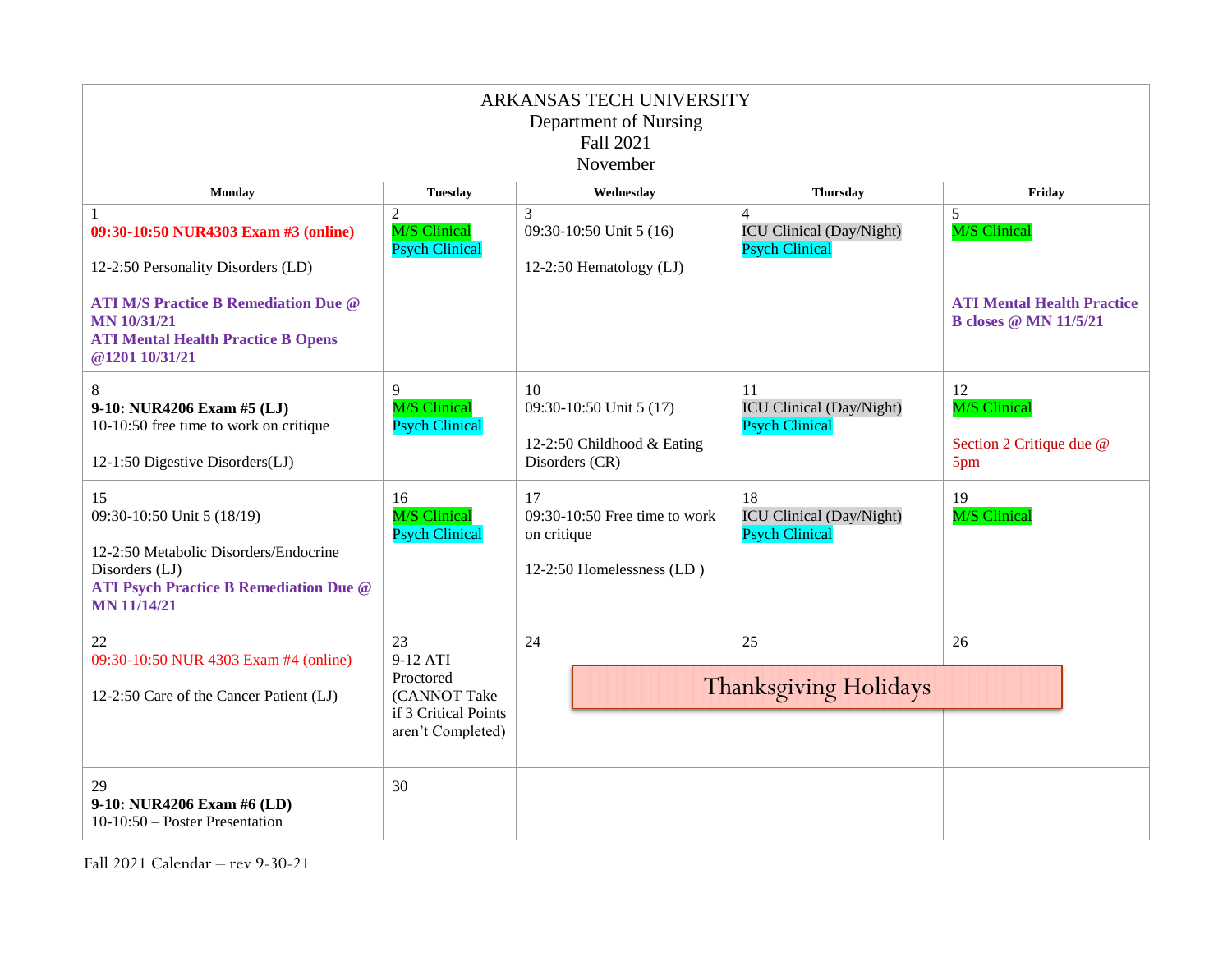| ARKANSAS TECH UNIVERSITY<br>Department of Nursing<br>Fall 2021<br>November                                                                                                                                          |                                                                                          |                                                                                 |                                                                            |                                                                                               |
|---------------------------------------------------------------------------------------------------------------------------------------------------------------------------------------------------------------------|------------------------------------------------------------------------------------------|---------------------------------------------------------------------------------|----------------------------------------------------------------------------|-----------------------------------------------------------------------------------------------|
| Monday                                                                                                                                                                                                              | <b>Tuesday</b>                                                                           | Wednesday                                                                       | <b>Thursday</b>                                                            | Friday                                                                                        |
| 1<br>09:30-10:50 NUR4303 Exam #3 (online)<br>12-2:50 Personality Disorders (LD)<br><b>ATI M/S Practice B Remediation Due @</b><br><b>MN 10/31/21</b><br><b>ATI Mental Health Practice B Opens</b><br>@1201 10/31/21 | 2<br><b>M/S Clinical</b><br><b>Psych Clinical</b>                                        | 3<br>09:30-10:50 Unit 5 (16)<br>12-2:50 Hematology (LJ)                         | $\overline{4}$<br><b>ICU Clinical (Day/Night)</b><br><b>Psych Clinical</b> | 5<br><b>M/S Clinical</b><br><b>ATI Mental Health Practice</b><br><b>B</b> closes @ MN 11/5/21 |
| 8<br>9-10: NUR4206 Exam #5 (LJ)<br>10-10:50 free time to work on critique<br>12-1:50 Digestive Disorders(LJ)                                                                                                        | 9<br><b>M/S Clinical</b><br><b>Psych Clinical</b>                                        | 10<br>09:30-10:50 Unit 5 (17)<br>12-2:50 Childhood & Eating<br>Disorders (CR)   | 11<br><b>ICU Clinical (Day/Night)</b><br><b>Psych Clinical</b>             | 12<br><b>M/S Clinical</b><br>Section 2 Critique due @<br>5pm                                  |
| 15<br>09:30-10:50 Unit 5 (18/19)<br>12-2:50 Metabolic Disorders/Endocrine<br>Disorders (LJ)<br><b>ATI Psych Practice B Remediation Due @</b><br><b>MN 11/14/21</b>                                                  | 16<br><b>M/S</b> Clinical<br><b>Psych Clinical</b>                                       | 17<br>09:30-10:50 Free time to work<br>on critique<br>12-2:50 Homelessness (LD) | 18<br><b>ICU Clinical (Day/Night)</b><br><b>Psych Clinical</b>             | 19<br>M/S Clinical                                                                            |
| 22<br>09:30-10:50 NUR 4303 Exam #4 (online)<br>12-2:50 Care of the Cancer Patient (LJ)                                                                                                                              | 23<br>9-12 ATI<br>Proctored<br>(CANNOT Take<br>if 3 Critical Points<br>aren't Completed) | 24                                                                              | 25<br><b>Thanksgiving Holidays</b>                                         | 26                                                                                            |
| 29<br>9-10: NUR4206 Exam #6 (LD)<br>10-10:50 – Poster Presentation                                                                                                                                                  | 30                                                                                       |                                                                                 |                                                                            |                                                                                               |